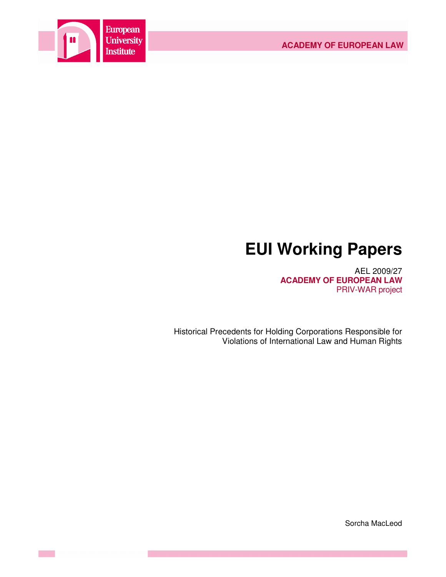

# **EUI Working Papers**

AEL 2009/27 **ACADEMY OF EUROPEAN LAW** PRIV-WAR project

Historical Precedents for Holding Corporations Responsible for Violations of International Law and Human Rights

Sorcha MacLeod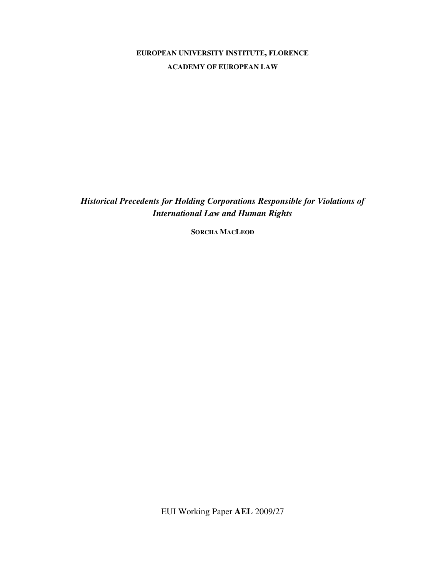# **EUROPEAN UNIVERSITY INSTITUTE, FLORENCE ACADEMY OF EUROPEAN LAW**

*Historical Precedents for Holding Corporations Responsible for Violations of International Law and Human Rights* 

**SORCHA MACLEOD**

EUI Working Paper **AEL** 2009/27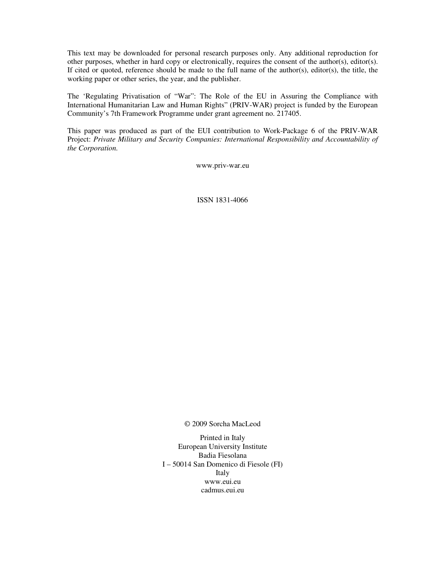This text may be downloaded for personal research purposes only. Any additional reproduction for other purposes, whether in hard copy or electronically, requires the consent of the author(s), editor(s). If cited or quoted, reference should be made to the full name of the author(s), editor(s), the title, the working paper or other series, the year, and the publisher.

The 'Regulating Privatisation of "War": The Role of the EU in Assuring the Compliance with International Humanitarian Law and Human Rights" (PRIV-WAR) project is funded by the European Community's 7th Framework Programme under grant agreement no. 217405.

This paper was produced as part of the EUI contribution to Work-Package 6 of the PRIV-WAR Project: *Private Military and Security Companies: International Responsibility and Accountability of the Corporation.* 

www.priv-war.eu

ISSN 1831-4066

© 2009 Sorcha MacLeod

Printed in Italy European University Institute Badia Fiesolana I – 50014 San Domenico di Fiesole (FI) Italy www.eui.eu cadmus.eui.eu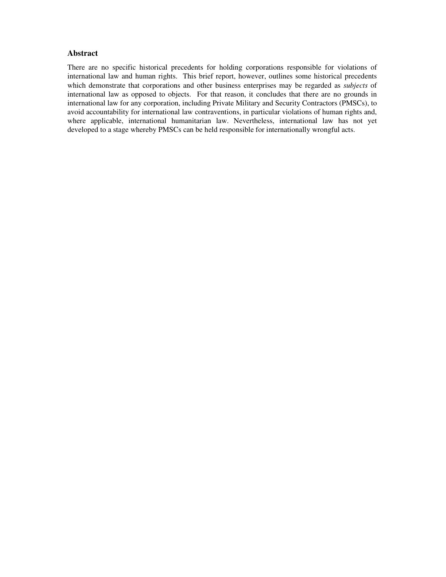# **Abstract**

There are no specific historical precedents for holding corporations responsible for violations of international law and human rights. This brief report, however, outlines some historical precedents which demonstrate that corporations and other business enterprises may be regarded as *subjects* of international law as opposed to objects. For that reason, it concludes that there are no grounds in international law for any corporation, including Private Military and Security Contractors (PMSCs), to avoid accountability for international law contraventions, in particular violations of human rights and, where applicable, international humanitarian law. Nevertheless, international law has not yet developed to a stage whereby PMSCs can be held responsible for internationally wrongful acts.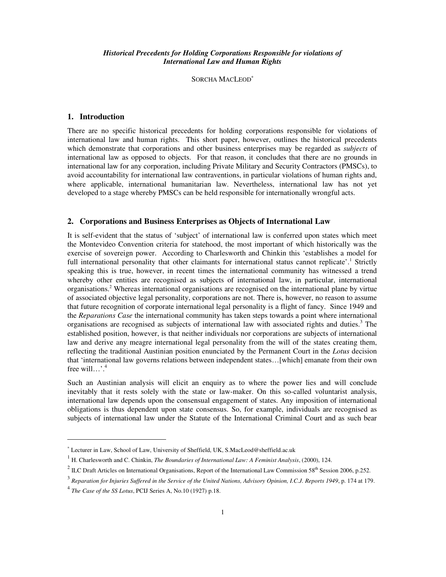## *Historical Precedents for Holding Corporations Responsible for violations of International Law and Human Rights*

SORCHA MACLEOD<sup>\*</sup>

#### **1. Introduction**

There are no specific historical precedents for holding corporations responsible for violations of international law and human rights. This short paper, however, outlines the historical precedents which demonstrate that corporations and other business enterprises may be regarded as *subjects* of international law as opposed to objects. For that reason, it concludes that there are no grounds in international law for any corporation, including Private Military and Security Contractors (PMSCs), to avoid accountability for international law contraventions, in particular violations of human rights and, where applicable, international humanitarian law. Nevertheless, international law has not yet developed to a stage whereby PMSCs can be held responsible for internationally wrongful acts.

# **2. Corporations and Business Enterprises as Objects of International Law**

It is self-evident that the status of 'subject' of international law is conferred upon states which meet the Montevideo Convention criteria for statehood, the most important of which historically was the exercise of sovereign power. According to Charlesworth and Chinkin this 'establishes a model for full international personality that other claimants for international status cannot replicate'.<sup>1</sup> Strictly speaking this is true, however, in recent times the international community has witnessed a trend whereby other entities are recognised as subjects of international law, in particular, international organisations.<sup>2</sup> Whereas international organisations are recognised on the international plane by virtue of associated objective legal personality, corporations are not. There is, however, no reason to assume that future recognition of corporate international legal personality is a flight of fancy. Since 1949 and the *Reparations Case* the international community has taken steps towards a point where international organisations are recognised as subjects of international law with associated rights and duties.<sup>3</sup> The established position, however, is that neither individuals nor corporations are subjects of international law and derive any meagre international legal personality from the will of the states creating them, reflecting the traditional Austinian position enunciated by the Permanent Court in the *Lotus* decision that 'international law governs relations between independent states…[which] emanate from their own free will…'.<sup>4</sup>

Such an Austinian analysis will elicit an enquiry as to where the power lies and will conclude inevitably that it rests solely with the state or law-maker. On this so-called voluntarist analysis, international law depends upon the consensual engagement of states. Any imposition of international obligations is thus dependent upon state consensus. So, for example, individuals are recognised as subjects of international law under the Statute of the International Criminal Court and as such bear

<sup>∗</sup> Lecturer in Law, School of Law, University of Sheffield, UK, S.MacLeod@sheffield.ac.uk

<sup>1</sup> H. Charlesworth and C. Chinkin, *The Boundaries of International Law: A Feminist Analysis*, (2000), 124.

 $^2$  ILC Draft Articles on International Organisations, Report of the International Law Commission 58<sup>th</sup> Session 2006, p.252.

<sup>3</sup> *Reparation for Injuries Suffered in the Service of the United Nations, Advisory Opinion, I.C.J. Reports 1949*, p. 174 at 179.

<sup>4</sup> *The Case of the SS Lotus*, PCIJ Series A, No.10 (1927) p.18.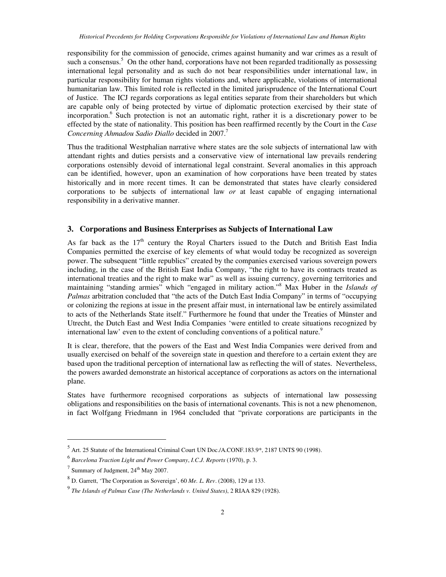responsibility for the commission of genocide, crimes against humanity and war crimes as a result of such a consensus.<sup>5</sup> On the other hand, corporations have not been regarded traditionally as possessing international legal personality and as such do not bear responsibilities under international law, in particular responsibility for human rights violations and, where applicable, violations of international humanitarian law. This limited role is reflected in the limited jurisprudence of the International Court of Justice. The ICJ regards corporations as legal entities separate from their shareholders but which are capable only of being protected by virtue of diplomatic protection exercised by their state of incorporation.<sup>6</sup> Such protection is not an automatic right, rather it is a discretionary power to be effected by the state of nationality. This position has been reaffirmed recently by the Court in the *Case Concerning Ahmadou Sadio Diallo* decided in 2007.<sup>7</sup>

Thus the traditional Westphalian narrative where states are the sole subjects of international law with attendant rights and duties persists and a conservative view of international law prevails rendering corporations ostensibly devoid of international legal constraint. Several anomalies in this approach can be identified, however, upon an examination of how corporations have been treated by states historically and in more recent times. It can be demonstrated that states have clearly considered corporations to be subjects of international law *or* at least capable of engaging international responsibility in a derivative manner.

## **3. Corporations and Business Enterprises as Subjects of International Law**

As far back as the  $17<sup>th</sup>$  century the Royal Charters issued to the Dutch and British East India Companies permitted the exercise of key elements of what would today be recognized as sovereign power. The subsequent "little republics" created by the companies exercised various sovereign powers including, in the case of the British East India Company, "the right to have its contracts treated as international treaties and the right to make war" as well as issuing currency, governing territories and maintaining "standing armies" which "engaged in military action."<sup>8</sup> Max Huber in the *Islands of Palmas* arbitration concluded that "the acts of the Dutch East India Company" in terms of "occupying or colonizing the regions at issue in the present affair must, in international law be entirely assimilated to acts of the Netherlands State itself." Furthermore he found that under the Treaties of Münster and Utrecht, the Dutch East and West India Companies 'were entitled to create situations recognized by international law' even to the extent of concluding conventions of a political nature.<sup>9</sup>

It is clear, therefore, that the powers of the East and West India Companies were derived from and usually exercised on behalf of the sovereign state in question and therefore to a certain extent they are based upon the traditional perception of international law as reflecting the will of states. Nevertheless, the powers awarded demonstrate an historical acceptance of corporations as actors on the international plane.

States have furthermore recognised corporations as subjects of international law possessing obligations and responsibilities on the basis of international covenants. This is not a new phenomenon, in fact Wolfgang Friedmann in 1964 concluded that "private corporations are participants in the

 $<sup>5</sup>$  Art. 25 Statute of the International Criminal Court UN Doc./A.CONF.183.9\*, 2187 UNTS 90 (1998).</sup>

<sup>6</sup> *Barcelona Traction Light and Power Company*, *I.C.J. Reports* (1970), p. 3.

 $^7$  Summary of Judgment,  $24^{\text{th}}$  May 2007.

<sup>8</sup> D. Garrett, 'The Corporation as Sovereign', 60 *Me. L. Rev*. (2008), 129 at 133.

<sup>9</sup> *The Islands of Palmas Case (The Netherlands v. United States)*, 2 RIAA 829 (1928).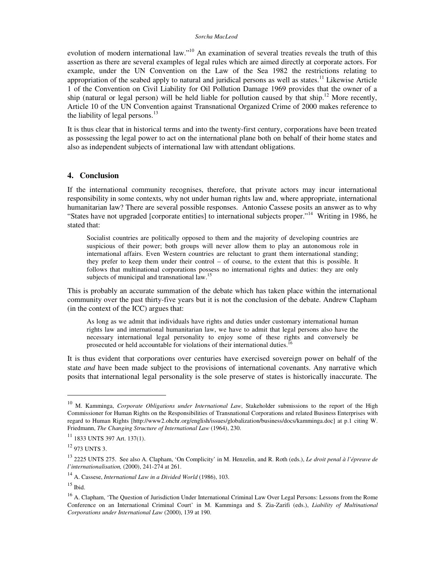#### *Sorcha MacLeod*

evolution of modern international law."<sup>10</sup> An examination of several treaties reveals the truth of this assertion as there are several examples of legal rules which are aimed directly at corporate actors. For example, under the UN Convention on the Law of the Sea 1982 the restrictions relating to appropriation of the seabed apply to natural and juridical persons as well as states.<sup>11</sup> Likewise Article 1 of the Convention on Civil Liability for Oil Pollution Damage 1969 provides that the owner of a ship (natural or legal person) will be held liable for pollution caused by that ship.<sup>12</sup> More recently, Article 10 of the UN Convention against Transnational Organized Crime of 2000 makes reference to the liability of legal persons.<sup>13</sup>

It is thus clear that in historical terms and into the twenty-first century, corporations have been treated as possessing the legal power to act on the international plane both on behalf of their home states and also as independent subjects of international law with attendant obligations.

#### **4. Conclusion**

If the international community recognises, therefore, that private actors may incur international responsibility in some contexts, why not under human rights law and, where appropriate, international humanitarian law? There are several possible responses. Antonio Cassese posits an answer as to why "States have not upgraded [corporate entities] to international subjects proper."<sup>14</sup> Writing in 1986, he stated that:

Socialist countries are politically opposed to them and the majority of developing countries are suspicious of their power; both groups will never allow them to play an autonomous role in international affairs. Even Western countries are reluctant to grant them international standing; they prefer to keep them under their control – of course, to the extent that this is possible. It follows that multinational corporations possess no international rights and duties: they are only subjects of municipal and transnational law.<sup>15</sup>

This is probably an accurate summation of the debate which has taken place within the international community over the past thirty-five years but it is not the conclusion of the debate. Andrew Clapham (in the context of the ICC) argues that:

As long as we admit that individuals have rights and duties under customary international human rights law and international humanitarian law, we have to admit that legal persons also have the necessary international legal personality to enjoy some of these rights and conversely be prosecuted or held accountable for violations of their international duties.<sup>16</sup>

It is thus evident that corporations over centuries have exercised sovereign power on behalf of the state *and* have been made subject to the provisions of international covenants. Any narrative which posits that international legal personality is the sole preserve of states is historically inaccurate. The

<sup>10</sup> M. Kamminga, *Corporate Obligations under International Law*, Stakeholder submissions to the report of the High Commissioner for Human Rights on the Responsibilities of Transnational Corporations and related Business Enterprises with regard to Human Rights [http://www2.ohchr.org/english/issues/globalization/business/docs/kamminga.doc] at p.1 citing W. Friedmann, *The Changing Structure of International Law* (1964), 230.

<sup>11</sup> 1833 UNTS 397 Art. 137(1).

<sup>12</sup> 973 UNTS 3.

<sup>13</sup> 2225 UNTS 275. See also A. Clapham, 'On Complicity' in M. Henzelin, and R. Roth (eds.), *Le droit penal à l'épreuve de l'internationalisation,* (2000), 241-274 at 261.

<sup>14</sup> A. Cassese, *International Law in a Divided World* (1986), 103.

 $^{15}$  Ibid.

<sup>&</sup>lt;sup>16</sup> A. Clapham, 'The Question of Jurisdiction Under International Criminal Law Over Legal Persons: Lessons from the Rome Conference on an International Criminal Court' in M. Kamminga and S. Zia-Zarifi (eds.), *Liability of Multinational Corporations under International Law* (2000), 139 at 190.